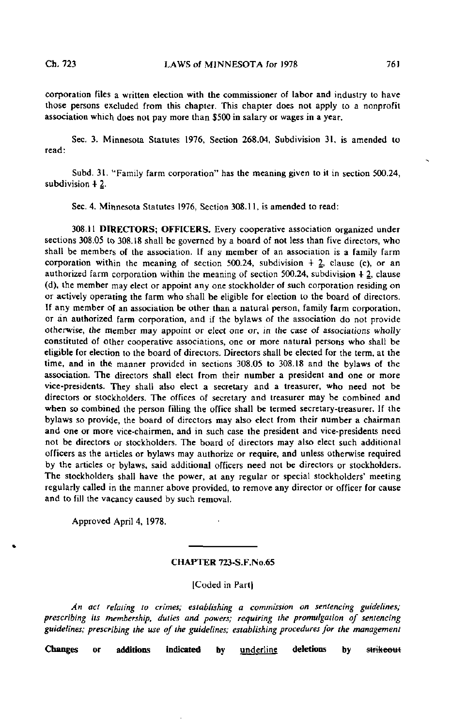corporation files a written election with the commissioner of labor and industry to have those persons excluded from this chapter. This chapter does not apply to a nonprofit association which does not pay more than \$500 in salary or wages in a year.

Sec. 3. Minnesota Statutes 1976, Section 268.04, Subdivision 31, is amended to read:

Subd. 31. "Family farm corporation" has the meaning given to it in section 500.24, subdivision  $+2$ .

Sec. 4. Minnesota Statutes 1976, Section 308.11, is amended to read:

308.11 DIRECTORS; OFFICERS. Every cooperative association organized under sections 308.05 to 308.18 shall be governed by a board of not less than five directors, who shall be members of the association. If any member of an association is a family farm corporation within the meaning of section  $500.24$ , subdivision  $\pm$  2, clause (c), or an authorized farm corporation within the meaning of section  $500.24$ , subdivision  $+ 2$ , clause (d), the member may elect or appoint any one stockholder of such corporation residing on or actively operating the farm who shall be eligible for election to the board of directors. If any member of an association be other than a natural person, family farm corporation, or an authorized farm corporation, and if the bylaws of the association do not provide otherwise, the member may appoint or elect one or, in the case of associations wholly constituted of other cooperative associations, one or more natural persons who shall be eligible for election to the board of directors. Directors shall be elected for the term, at the time, and in the manner provided in sections 308.05 to 308.18 and the bylaws of the association. The directors shall elect from their number a president and one or more vice-presidents. They shall also elect a secretary and a treasurer, who need not be directors or stockholders. The offices of secretary and treasurer may be combined and when so combined the person filling the office shall be termed secretary-treasurer. If the bylaws so provide, the board of directors may also elect from their number a chairman and one or more vice-chairmen, and in such case the president and vice-presidents need not be directors or stockholders. The board of directors may also elect such additional officers as the articles or bylaws may authorize or require, and unless otherwise required by the articles or bylaws, said additional officers need not be directors or stockholders. The stockholders shall have the power, at any regular or special stockholders' meeting regularly called in the manner above provided, to remove any director or officer for cause and to fill the vacancy caused by such removal.

Approved April 4, 1978.

### CHAPTER 723-S-F.No.65

[Coded in Part]

An act relating to crimes; establishing a commission on sentencing guidelines; prescribing its membership, duties and powers; requiring the promulgation of sentencing guidelines; prescribing the use of the guidelines; establishing procedures for the management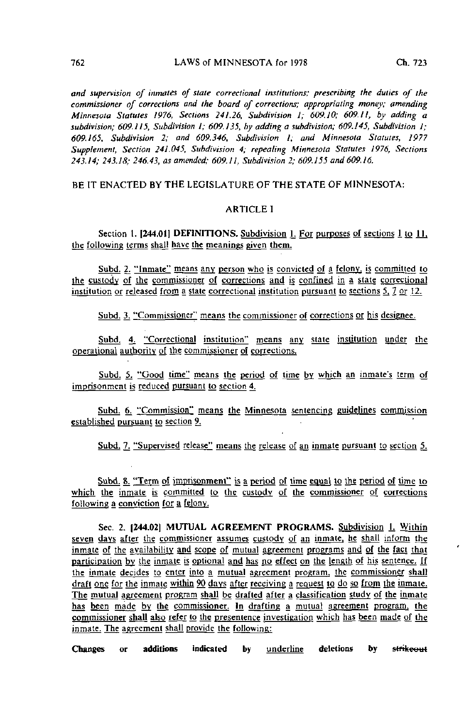and supervision of inmates of state correctional institutions; prescribing the duties of the commissioner of corrections and the board of corrections; appropriating money; amending Minnesota Statutes 1976, Sections 241.26, Subdivision I; 609.10; 609.11, by adding a subdivision; 609.115, Subdivision 1; 609.135, by adding a subdivision; 609.145, Subdivision 1; 609.165, Subdivision 2; and 609.346, Subdivision I; and Minnesota Statutes, 1977 Supplement, Section 241.045, Subdivision 4; repealing Minnesota Statutes 1976, Sections 243.14; 243.18; 246.43, as amended; 609.11, Subdivision 2; 609.155 and 609.16.

BE IT ENACTED BY THE LEGISLATURE OF THE STATE OF MINNESOTA:

# ARTICLE I

Section 1. [244.01] DEFINITIONS. Subdivision 1. For purposes of sections 1 to 11, the following terms shall have the meanings given them.

Subd. 2. "Inmate" means any person who is convicted of a felony, is committed to the custody of Ihe commissioner of corrections and js confined in a state correctional institution or released from a state correctional institution pursuant to sections  $5, 7$  or 12.

Subd. 3. "Commissioner" means the commissioner of corrections or his designee.

Subd. 4. "Correctional institution" means any state institution under the operational authority of the commissioner of corrections.

Subd. 5. "Good time" means the period of time by which an inmate's term of imprisonment is reduced pursuant to section 4.

Subd. 6. "Commission" means the Minnesota sentencing guidelines commission established pursuant to section 9,

Subd. 7. "Supervised release" means the release of an inmate pursuant to section 5.

Subd. 8. "Term of imprisonment" is a period of time equal to the period of time to which the inmate is committed to the custody of the commissioner of corrections following a conviction for a felony.

Sec. 2. [244.02] MUTUAL AGREEMENT PROGRAMS. Subdivision 1. Within seven days after the commissioner assumes custody of an inmate, he shall inform the inmate of the availability and scope of mutual agreement programs and of the fact that participation by the inmate is optional and has no effect on the length of his sentence. If the inmate decides to enter into a mutual agreement program, the commissioner shall draft one for the inmate within 90 days after receiving a request to do so from the inmate. The mutual agreement program shall be drafted after a classification study of the inmate has been made by the commissioner. In drafting a mutual agreement program, the commissioner shall also refer to the presentence investigation which has been made of the inmate. The agreement shall provide the following: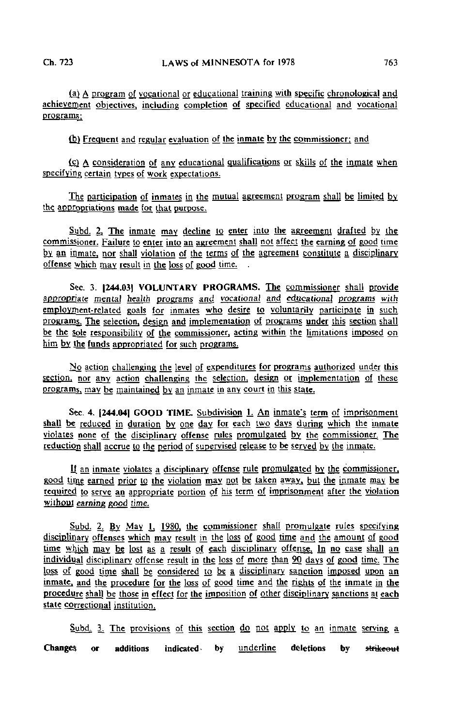(aj A program of vocational or educational training with specific chronological and achievement objectives, including completion of specified educational and vocational programs;

(b) Frequent and regular evaluation of the inmate by the commissioner; and

(cj A consideration of any educational qualifications or skills of the inmate when specifying certain types of work expectations.

The participation of inmates in the mutual agreement program shall be limited by the appropriations made for that purpose.

Subd. 2. The inmate may decline to enter into the agreement drafted by the commissioner. Failure to enter into an agreement shall not affect the earning of good time by an inmate, nor shall violation of the terms of the agreement constitute a disciplinary offense which may result in the loss of good time. .

Sec. 3. [244.03] VOLUNTARY PROGRAMS. The commissioner shall provide appropriate mental health programs and vocational and educational programs with employment-related goals for inmates who desire to voluntarily participate in such programs. The selection, dgsign and implementation of programs under this section shall be the sole responsibility of the commissioner, acting within the limitations imposed on him by the funds appropriated for such programs.

 $N<sub>0</sub>$  action challenging the level of expenditures for programs authorized under this section, nor any action challenging the selection, design or implementation of these programs, may be maintained by an inmate in any court in this state.

Sec. 4. [244.04] GOOD TIME. Subdivision 1. An inmate's term of imprisonment shall be reduced in duration by one day for each two days during which the inmate violates none of the disciplinary offense rules promulgated by the commissioner. The reduction shall accrue to the period of supervised release to be served by the inmate.

If an inmate violates a disciplinary offense rule promulgated by the commissioner. good time earned prior to the violation may not be taken away, but the inmate may be required to serve an appropriate portion of his term of imprisonment after the violation without earning good time.

Subd. 2. By May 1, 1980, the commissioner shall promulgate rules specifying disciplinary offenses which may result in the loss of good time and the amount of good time which may be lost as a result of each disciplinary offense. In no case shall an individual disciplinary offense result in the loss of more than 90 days of good lime. The loss of good time shall be considered to be a disciplinary sanction imposed upon an inmate, and the procedure for the loss of good time and the rights of the inmate in the procedure shall be those in effect for the imposition of other disciplinary sanctions at each state correctional institution.

Subd. 3. The provisions of this section do not apply to an inmate serving a Changes or additions indicated by underline deletions by strikeout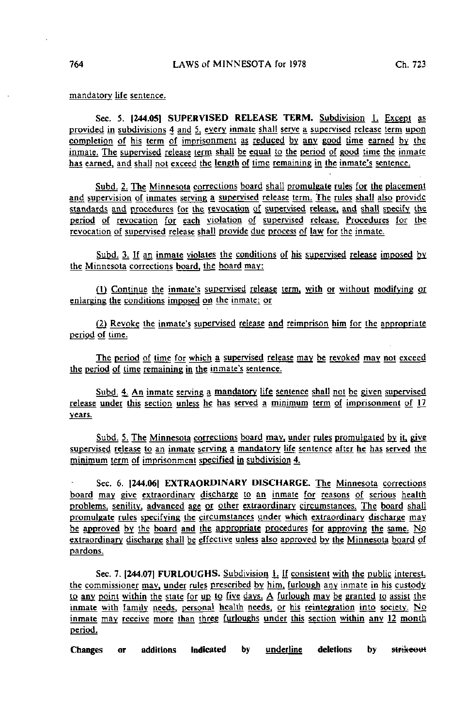mandatory life sentence.

Sec. 5. 1244.051 SUPERVISED RELEASE TERM. Subdivision 1. Except as provided in subdivisions 4 and 5, every inmate shall serve a supervised release term upon completion of his term of imprisonment as reduced by any good time earned by the inmate. The supervised release term shall be equal to the period of good time the inmate has earned, and shall not exceed the length of time remaining in the inmate's sentence.

Subd. 2. The Minnesota corrections board shall promulgate rules for the placement and supervision of inmates serving a supervised release term. The rules shall also provide standards and procedures for the revocation of supervised release, and shall specify the period of revocation for each violation of supervised release. Procedures for the revocation of supervised release shall provide due process of law for the inmate.

Subd. 3. If an inmate violates the conditions of his supervised release imposed by the Minnesota corrections board, the board may:

Q) Continue the inmate's supervised release term, with or without modifying or enlarging the conditions imposed on the inmate; or

(2) Revoke the inmate's supervised release and reimprison him for the appropriate period of time.

The period of time for which a supervised release may be revoked may not exceed the period of time remaining in the inmate's sentence.

Subd. 4. An inmate serving a mandatory life sentence shall not be given supervised release under this section unless he has served a minimum term of imprisonment of  $17$ years.

Subd. 5. The Minnesota corrections board may, under rules promulgated by it, give supervised release to an inmate serving a mandatory life sentence after he has served the minimum term of imprisonment specified in subdivision 4.

Sec. 6. 1244.061 EXTRAORDINARY DISCHARGE. The Minnesota corrections board may give extraordinary discharge to an inmate for reasons of serious health problems, senility, advanced age or other extraordinary circumstances. The board shall promulgate rules specifying the circumstances under which extraordinary discharge may be approved by the board and the appropriate procedures for approving the same. No extraordinary discharge shall be effective unless also approved by the Minnesota board of pardons.

Sec. 7. (244.071 FURLOUGHS. Subdivision L If consistent with the public interest, the commissioner may, under rules prescribed by him, furlough any inmate in his custody to any point within the state for up to five days. A furlough may be granted to assist the inmate with family needs, personal health needs, or his reintegration into society. No inmate may receive more than three furloughs under this section within any J2 month period.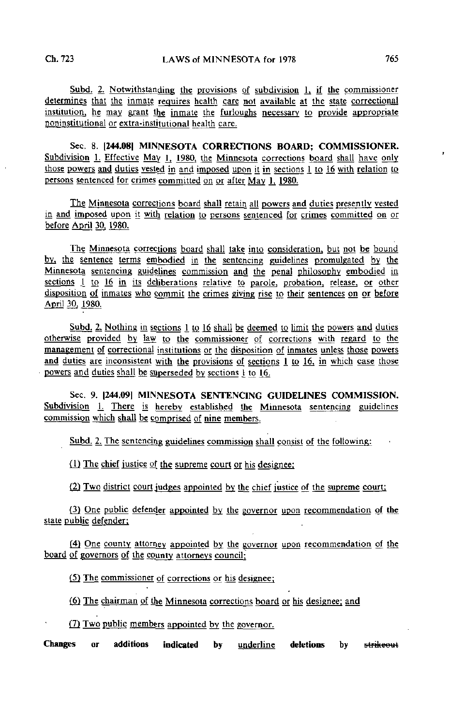$Subd.$  2. Notwithstanding the provisions of subdivision 1, if the commissioner determines that the inmate requires health care not available at the state correctional institution, he may grant the inmate the furloughs necessary to provide appropriate noninstitutional or extra-institutional health care.

Sec. 8. 1244.08] MINNESOTA CORRECTIONS BOARD; COMMISSIONER. Subdivision 1. Effective May 1, 1980, the Minnesota corrections board shall have only those powers and duties vested in and imposed upon it in sections 1 to 16 with relation to persons sentenced for crimes committed on or after May 1, 1980.

The Minnesota corrections board shall retain all powers and duties presently vested in and imposed upon it with relation to persons sentenced for crimes committed on or before April 30. 1980.

The Minnesota corrections board shall take into consideration, but not be bound by, the sentence terms embodied in the sentencing guidelines promulgated by the Minnesota sentencing guidelines commission and the penal philosophy embodied in sections 1 to 16 in its deliberations relative to parole, probation, release, or other disposition of inmates who commit the crimes giving rise to their sentences on or before April 30, 1980.

Subd. 2. Nothing in sections 1 to 16 shall be deemed to limit the powers and duties otherwise provided by law to the commissioner of corrections with regard to the management of correctional institutions or the disposition of inmates unless those powers and duties are inconsistent with the provisions of sections 1 to 16, in which case those powers and duties shall be superseded by sections 1 to 16.

Sec. 9. |244.09| MINNESOTA SENTENCING GUIDELINES COMMISSION. Subdivision L There is hereby established the Minnesota sentencing guidelines commission which shall be comprised of nine members.

Subd. 2. The sentencing guidelines commission shall consist of the following:

(1) The chief justice of the supreme court or his designer

{2J Two district court judges appointed by the chief justice of the supreme court;

(3) One public defender appointed by the governor upon recommendation of the state public defender;

(4) One county attorney appointed by the governor upon recommendation of the board of governors of the county attorneys council;

(5) Thg commissioner of corrections or his designee;

(6) The chairman of the Minnesota corrections board or his designee; and

(7) Two public members appointed by the governor.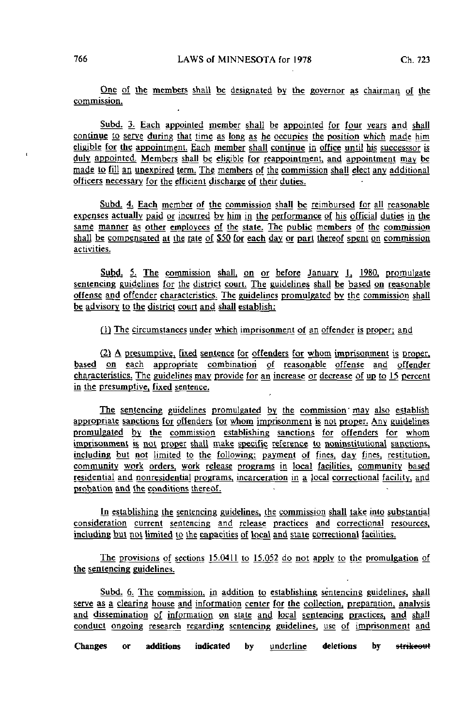One of the members shall be designated by the governor as chairman of the commission.

Subd. 3. Each appointed member shall be appointed for four years and shall continue to serve during that time as long as he occupies the position which made him eligible for the appointment. Each member shall continue in office until his successsor is duly appointed. Members shall be eligible for reappointment, and appointment may be made to fill an unexpired term. The members of the commission shall elect any additional officers necessary for the efficient discharge of their duties.

Subd. 4. Each member of the commission shall be reimbursed for all reasonable expenses actually paid or incurred by him in the performance of his official duties in the same manner as other employees of the state. The public members of the commission shall be compensated at the rate of \$50 for each day or part thereof spent on commission activities.

Subd,  $5$ . The commission shall, on or before January 1, 1980, promulgate sentencing guidelines for the district court. The guidelines shall be based on reasonable offense and offender characteristics. The guidelines promulgated by the commission shall be advisory to the district court and shall establish:

(1) The circumstances under which imprisonment of an offender is proper; and

(2) A presumptive, fixed sentence for offenders for whom imprisonment is proper, based on each appropriate combination of reasonable offense and offender characteristics. The guidelines may provide for an increase or decrease of up to  $15$  percent in the presumptive, fixed sentence.

The sentencing guidelines promulgated by the commission may also establish appropriate sanctions for offenders for whom imprisonment is not proper. Any guidelines promulgated by the commission establishing sanctions for offenders for whom imprisonment is not proper shall make specific reference to noninstitutional sanctions, including but not limited to the following: payment of fines, day fines, restitution. community work orders, work release programs in local facilities, community based residential and nonresidential programs, incarceration in a local correctional facility, and probation and the conditions thereof.

In establishing the sentencing guidelines, the commission shall take into substantial consideration current sentencing and release practices and correctional resources, including but not limited to the capacities of Local and state correctional facilities.

The provisions of sections 15.0411 to 15.052 do not apply to the promulgation of the sentencing guidelines.

Subd. 6. The commission, in addition to establishing sentencing guidelines, shall serve as a clearing house and information center for the collection, preparation, analysis and dissemination of information on state and local sentencing practices, and shall conduct ongoing research regarding sentencing guidelines, use of imprisonment and\_

Changes or additions indicated by underline deletions by strikeout

 $\epsilon$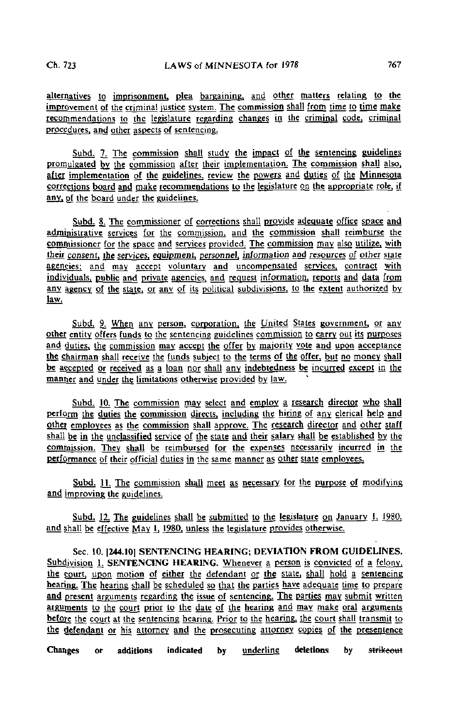alternatives to imprisonment, plea bargaining, and other matters relating to the improvement of the criminal justice system. The commission shall from time to time make recommendations to the legislature regarding changes in the criminal code, criminal procedures, and other aspects of sentencing.

Subd. 7. The commission shall study the impact of the sentencing guidelines promulgated by. the commission after their implementation, The commission shall also, after implementation of the guidelines, review the powers and duties of the Minnesota corrections board and make recommendations to the legislature on the appropriate role, if any, of the board under the guidelines.

Subd. & The commissioner of corrections shall provide adequate office space and administrative services for the commission, and the commission shall reimburse the commissioner for the space and services provided, The commission may also utilize, with their consent, ihe services, equipment, personnel, information and resources of other stale agencies; and may accept voluntary and uncompensated services, contract with individuals, public and private agencies, and request information, reports and data from any agency of the state, or any of its political subdivisions, to the extent authorized by law.

Subd. 9. When any person, corporation, the United States government, or any other entity offers funds to the sentencing guidelines commission to carry out its purposes and duties, the commission may accept the offer by majority vote and upon acceptance the chairman shall receive the funds subject to the terms of the offer, but no money shall be accepted or received as a loan nor shall any indebtedness be incurred except in the manner and under the limitations otherwise provided by law.

Subd. 10. The commission may select and employ a research director who shall perform the duties the commission directs, including the hiring of any clerical help and other employees as the commission shall approve. The research director and other staff shall be in the unclassified service of the state and their salary shall be established by the commission. They shall be reimbursed for the expenses necessarily incurred in the performance of their official duties in the same manner as other state employees.

Subd. 11. The commission shall meet as necessary for the purpose of modifying and improving the guidelines.

Subd. 12. The guidelines shall be submitted to the legislature on January  $I_1$  1980, and shall be effective May 1, 1980, unless the legislature provides otherwise.

Sec. 10. 1244.101 SENTENCING HEARING; DEVIATION FROM GUIDELINES. Subdivision 1. SENTENCING HEARING. Whenever a person is convicted of a felony, the gourt. upon motion of either the defendant or the state, shall hold a sentencing hearing. The hearing shall be scheduled so that the parties have adequate time to prepare and present arguments regarding the issue of sentencing. The parties may submit written arguments to the court prior to the date of the hearing and may make oral arguments before the court at the sentencing hearing. Prior to the hearing, the court shall transmit to the defendant or his attorney and the prosecuting attorney copies of the presentence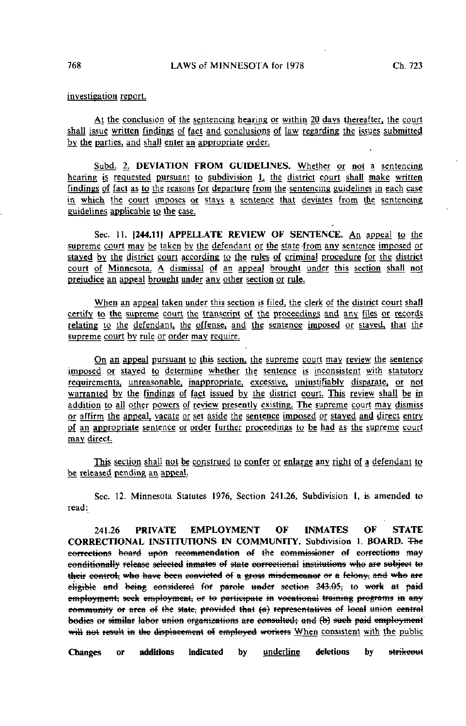investigation report.

At the conclusion of the sentencing hearing or within 20 days thereafter, the court shall issue written findings of fact and conclusions of law regarding the issues submitted by the parties, and shall enter an' appropriate order.

Subd. 2. DEVIATION FROM GUIDELINES. Whether or not a sentencing hearing is requested pursuant to subdivision 1, the district court shall make written findings of fact as to the reasons for departure from the sentencing guidelines in each case in which the court imposes or stays a sentence that deviates from the sentencing guidelines applicable to the case.

Sec. 11. [244.11] APPELLATE REVIEW OF SENTENCE. An appeal to the supreme court may be taken by the defendant or the state from any sentence imposed or staved by the district court according to the rules of criminal procedure for the district court of Minnesota. A dismissal of an appeal brought under this section shall not prejudice an appeal brought under any other section or rule.

When an appeal taken under this section is filed, the clerk of the district court shall certify to the supreme court the transcript of the proceedings and any files or records relating to the defendant, the offense, and the sentence imposed or staved, that the supreme court by rule or order may require.

On an appeal pursuant to this section, the supreme court may review the sentence imposed or staved to determine whether the sentence is inconsistent with statutory requirements, unreasonable, inappropriate, excessive, unjustifiably disparate, or not warranted by the findings of fact issued by the district court. This review shall be in addition to all other powers of review presently existing. The supreme court may dismiss or affirm the appeal, vacate or set aside the sentence imposed or staved and direct entry of an appropriate sentence or order further proceedings to be had as the supreme court may direct.

This section shall not be construed to confer or enlarge any right of a defendant to be released pending an appeal.

Sec. 12. Minnesota Statutes 1976, Section 241.26, Subdivision 1, is amended to read:

241.26 PRIVATE EMPLOYMENT OF INMATES OF STATE CORRECTIONAL INSTITUTIONS IN COMMUNITY. Subdivision 1. BOARD. The corrections board upon recommendation of the commissioner of corrections may conditionally release selected inmates of state correctional institutions who are subject to their control; who have been convicted of a gross misdemeanor or a felony, and who are eligible and being considered for parole under section 243.05, to work at paid employment, seek employment, or to participate in vocational training programs in any community or area of the state; provided that (a) representatives of local union central bodies or similar labor union organizations are consulted; and (b) such paid employment will not result in the displacement of employed workers When consistent with the public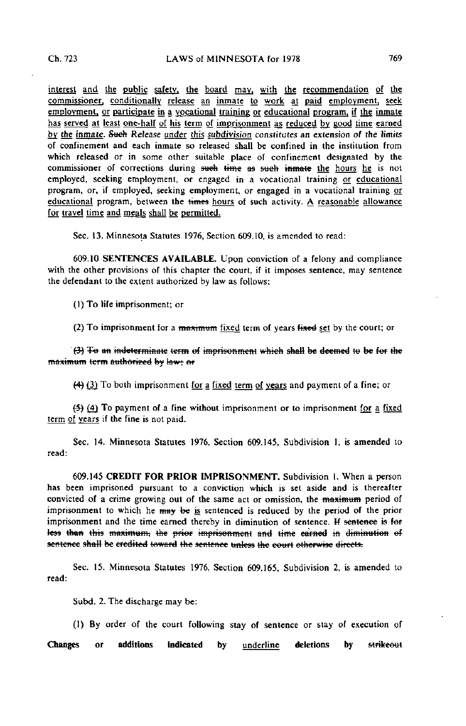interest and the public safety, the board may, with the recommendation of the commissioner, conditionally release an inmate to work at paid employment, seek employment, or participate in a vocational training or educational program, if the inmate has served at least one-half of his term of imprisonment as reduced by good time earned by the inmate. Such Release under this subdivision constitutes an extension of the limits of confinement and each inmate so released shall be confined in the institution from which released or in some other suitable place of confinement designated by the commissioner of corrections during such time as such inmate the hours he is not employed, seeking employment, or engaged in a vocational training or educational program, or, if employed, seeking employment, or engaged in a vocational training or educational program, between the times hours of such activity. A reasonable allowance for travel time and meals shall be permitted.

Sec. 13. Minnesota Statutes 1976, Section 609.10, is amended to read:

609.10 SENTENCES AVAILABLE. Upon conviction of a felony and compliance with the other provisions of this chapter the court, if it imposes sentence, may sentence the defendant to the extent authorized by law as follows:

(1) To life imprisonment; or

(2) To imprisonment for a maximum fixed term of years fixed set by the court; or

 $(3)$  To an indeterminate term of imprisonment which shall be deemed to be for the maximum term authorized by law: or

(4) (3) To both imprisonment for a fixed term of years and payment of a fine; or

(5) (4J To payment of a fine without imprisonment or to imprisonment for a fixed term of years if the fine is not paid.

Sec. 14. Minnesota Statutes 1976, Section 609.145, Subdivision I, is amended to read:

609.145 CREDIT FOR PRIOR IMPRISONMENT. Subdivision I. When a person has been imprisoned pursuant to a conviction which is set aside and is thereafter convicted of a crime growing out of the same act or omission, the maximum period of imprisonment to which he may be is sentenced is reduced by the period of the prior imprisonment and the time earned thereby in diminution of sentence. H sentence is for less than this maximum, the prior imprisonment and time earned in diminution of sentence shall be credited toward the sentence unless the court otherwise directs.

Sec. 15. Minnesota Statutes 1976, Section 609.165, Subdivision 2, is amended to read:

Subd. 2. The discharge may be:

(1) By order of the court following stay of sentence or stay of execution of

Changes or additions indicated by <u>underline</u> deletions by <del>strikeout</del>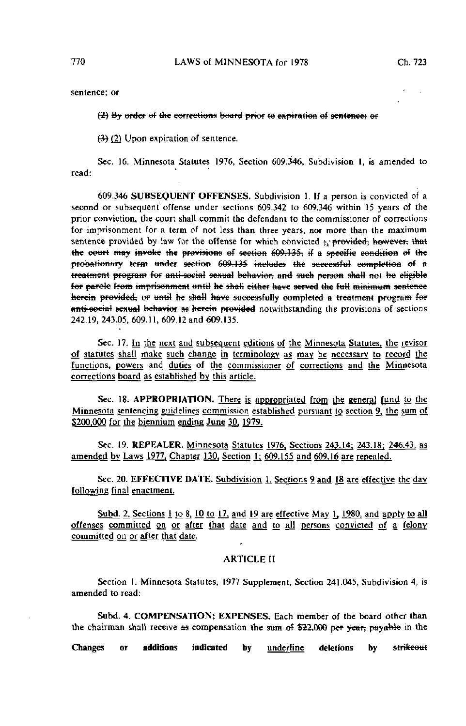sentence; or

### (2) By ordcf ef the corrections board prior te expiration ef sentence; ef

 $(3)$  (2) Upon expiration of sentence.

Sec. 16. Minnesota Statutes 1976, Section 609.346, Subdivision I, is amended to read:

609.346 SUBSEQUENT OFFENSES. Subdivision 1. If a person is convicted of a second or subsequent offense under sections 609.342 to 609.346 within 15 years of the prior conviction, the court shall commit the defendant to the commissioner of corrections for imprisonment for a term of not less than three years, nor more than the maximum sentence provided by law for the offense for which convicted  $y_i$  provided; however, that the court may invoke the provisions of section 609.135; if a specific condition of the  $probation$ ary term under section  $609.135$  includes the successful completion of a treatment program for anti-social sexual behavior, and such person shall not be eligible for parole from imprisonment until he shall either have served the full minimum sentence herein provided, or until he shall have successfully completed a treatment program for anti-social sexual behavior as herein provided notwithstanding the provisions of sections 242.19, 243.05, 609.11, 609.12 and 609.135.

Sec. 17. In the next and subsequent editions of the Minnesota Statutes, the revisor of statutes shall make such change in terminology as may be necessary to record the functions, powers and duties of the commissioner of corrections and the Minnesota corrections board as established by this article.

Sec. 18. APPROPRIATION. There is appropriated from the general fund to the Minnesota sentencing guidelines commission established pursuant to section 9. the sum of \$200,000 for the biennium ending June 30, 1979.

Sec. 19. REPEALER. Minnesota Statutes 1976. Sections 243.14; 243.18; 246.43, as amended by Laws 1977, Chapter 130, Section 1; 609.155 and 609.16 are repealed.

Sec. 20. EFFECTIVE DATE. Subdivision 1. Sections 9 and 18 are effective the day following final enactment.

Subd. 2. Sections 1 to 8, 10 to 17, and 19 are effective May 1, 1980, and apply to all offenses committed on or after that date and to all persons convicted of a felony committed on or after that date;

# ARTICLE II

Section 1. Minnesota Statutes, 1977 Supplement, Section 241.045, Subdivision 4, is amended to read:

Subd. 4. COMPENSATION; EXPENSES. Each member of the board other than the chairman shall receive as compensation the sum of  $$22,000$  per year, payable in the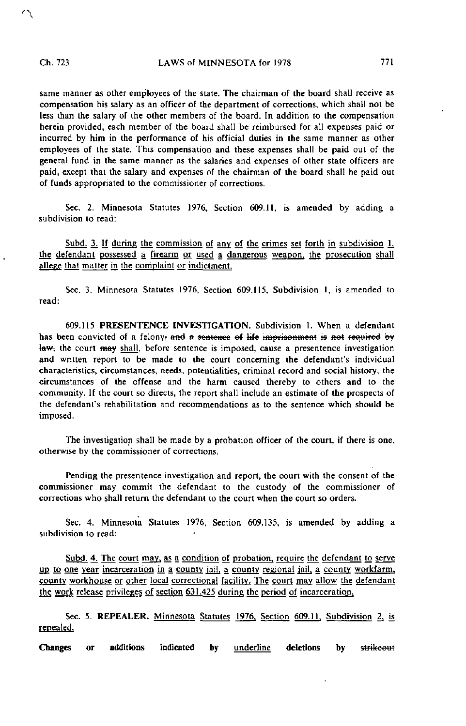$\Delta$ 

same manner as other employees of the state. The chairman of the board shall receive as compensation his salary as an officer of the department of corrections, which shall not be less than the salary of the other members of the board. In addition to the compensation herein provided, each member of the board shall be reimbursed for all expenses paid or incurred by him in the performance of his official duties in the same manner as other employees of the state. This compensation and these expenses shall be paid out of the general fund in the same manner as the salaries and expenses of other state officers are paid, except that the salary and expenses of the chairman of the board shall be paid out of funds appropriated to the commissioner of corrections.

Sec. 2. Minnesota Statutes 1976, Section 609.11, is amended by adding a subdivision to read:

Subd. 3. If during the commission of any of the crimes set forth in subdivision 1. the defendant possessed a firearm or used a dangerous weapon, the prosecution shall allege that matter in the complaint or indictment.

Sec. 3. Minnesota Statutes 1976, Section 609.115, Subdivision 1, is amended to read:

609.115 PRESENTENCE INVESTIGATION. Subdivision 1. When a defendant has been convicted of a felony; and a sentence of life imprisonment is not required by law; the court may shall, before sentence is imposed, cause a presentence investigation and written report to be made to the court concerning the defendant's individual characteristics, circumstances, needs, potentialities, criminal record and social history, the circumstances of the offense and the harm caused thereby to others and to the community. If the court so directs, the report shall include an estimate of the prospects of the defendant's rehabilitation and recommendations as to the sentence which should be imposed.

The investigation shall be made by a probation officer of the court, if there is one, otherwise by the commissioner of corrections.

Pending the presentence investigation and report, the court with the consent of the commissioner may commit the defendant to the custody of the commissioner of corrections who shall return the defendant to the court when the court so orders.

Sec. 4. Minnesota Statutes 1976, Section 609.135, is amended by adding a subdivision to read:

Subd. 4. The court may, as a condition of probation, require the defendant to serve up to one year incarceration in a county jail, a county regional jail, a county workfarm. county workhouse or other local correctional facility. The court may allow the defendant the work release privileges of section  $631.425$  during the period of incarceration.

Sec. 5. REPEALER. Minnesota Statutes 1976. Section 609.11. Subdivision 2, is repealed.